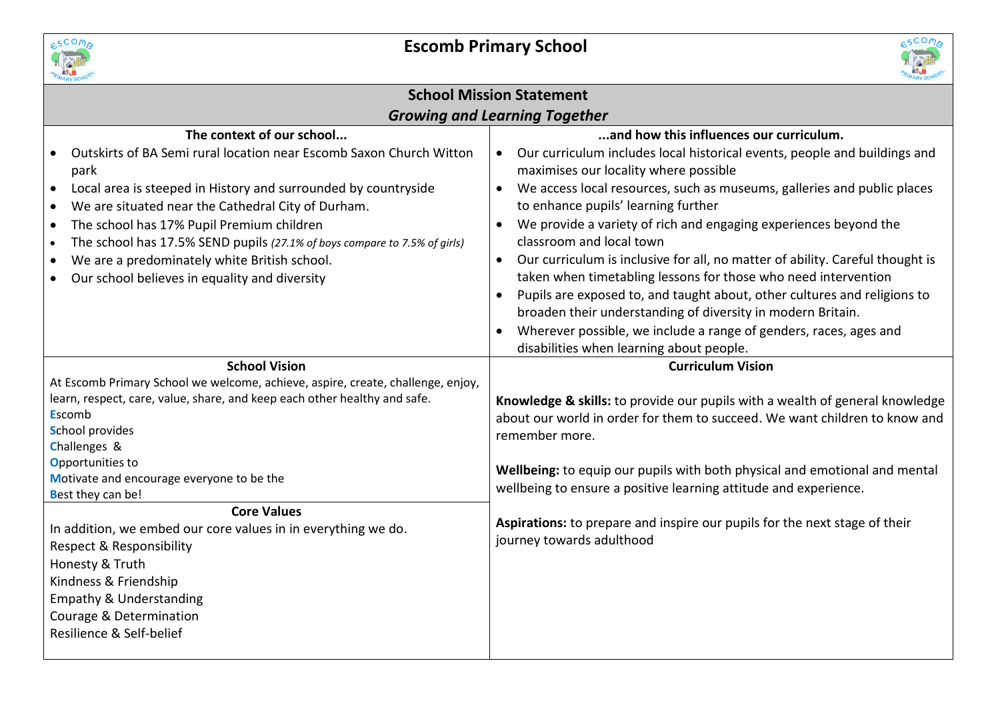



| <b>School Mission Statement</b>                                                                                                                                                                                                                                                                                                                                                                                                                                                                                                                                                                   |                                                                                                                                                                                                                                                                                                                                                                                                                                                                                                                                                                                                                                                                                                                                                                                                                                       |  |  |  |
|---------------------------------------------------------------------------------------------------------------------------------------------------------------------------------------------------------------------------------------------------------------------------------------------------------------------------------------------------------------------------------------------------------------------------------------------------------------------------------------------------------------------------------------------------------------------------------------------------|---------------------------------------------------------------------------------------------------------------------------------------------------------------------------------------------------------------------------------------------------------------------------------------------------------------------------------------------------------------------------------------------------------------------------------------------------------------------------------------------------------------------------------------------------------------------------------------------------------------------------------------------------------------------------------------------------------------------------------------------------------------------------------------------------------------------------------------|--|--|--|
| <b>Growing and Learning Together</b>                                                                                                                                                                                                                                                                                                                                                                                                                                                                                                                                                              |                                                                                                                                                                                                                                                                                                                                                                                                                                                                                                                                                                                                                                                                                                                                                                                                                                       |  |  |  |
| The context of our school<br>Outskirts of BA Semi rural location near Escomb Saxon Church Witton<br>park<br>Local area is steeped in History and surrounded by countryside<br>$\bullet$<br>We are situated near the Cathedral City of Durham.<br>$\bullet$<br>The school has 17% Pupil Premium children<br>$\bullet$<br>The school has 17.5% SEND pupils (27.1% of boys compare to 7.5% of girls)<br>$\bullet$<br>We are a predominately white British school.<br>$\bullet$<br>Our school believes in equality and diversity                                                                      | and how this influences our curriculum.<br>Our curriculum includes local historical events, people and buildings and<br>maximises our locality where possible<br>We access local resources, such as museums, galleries and public places<br>$\bullet$<br>to enhance pupils' learning further<br>We provide a variety of rich and engaging experiences beyond the<br>$\bullet$<br>classroom and local town<br>Our curriculum is inclusive for all, no matter of ability. Careful thought is<br>taken when timetabling lessons for those who need intervention<br>Pupils are exposed to, and taught about, other cultures and religions to<br>$\bullet$<br>broaden their understanding of diversity in modern Britain.<br>Wherever possible, we include a range of genders, races, ages and<br>disabilities when learning about people. |  |  |  |
| <b>School Vision</b><br>At Escomb Primary School we welcome, achieve, aspire, create, challenge, enjoy,<br>learn, respect, care, value, share, and keep each other healthy and safe.<br><b>Escomb</b><br><b>School provides</b><br>Challenges &<br>Opportunities to<br>Motivate and encourage everyone to be the<br>Best they can be!<br><b>Core Values</b><br>In addition, we embed our core values in in everything we do.<br>Respect & Responsibility<br>Honesty & Truth<br>Kindness & Friendship<br><b>Empathy &amp; Understanding</b><br>Courage & Determination<br>Resilience & Self-belief | <b>Curriculum Vision</b><br>Knowledge & skills: to provide our pupils with a wealth of general knowledge<br>about our world in order for them to succeed. We want children to know and<br>remember more.<br>Wellbeing: to equip our pupils with both physical and emotional and mental<br>wellbeing to ensure a positive learning attitude and experience.<br>Aspirations: to prepare and inspire our pupils for the next stage of their<br>journey towards adulthood                                                                                                                                                                                                                                                                                                                                                                 |  |  |  |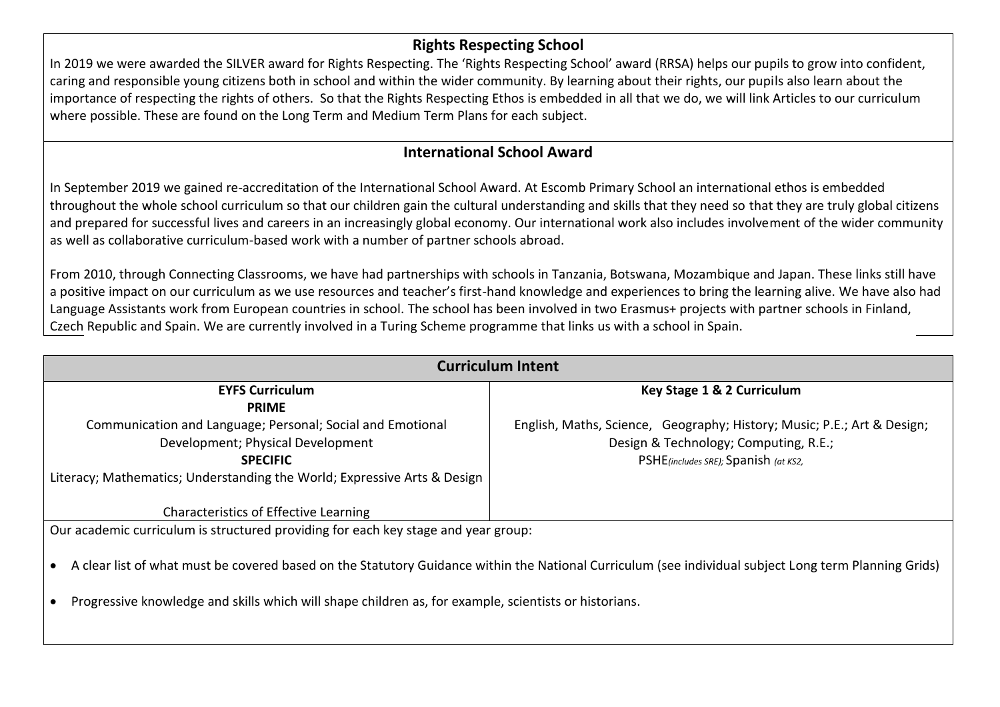## **Rights Respecting School**

In 2019 we were awarded the SILVER award for Rights Respecting. The 'Rights Respecting School' award (RRSA) helps our pupils to grow into confident, caring and responsible young citizens both in school and within the wider community. By learning about their rights, our pupils also learn about the importance of respecting the rights of others. So that the Rights Respecting Ethos is embedded in all that we do, we will link Articles to our curriculum where possible. These are found on the Long Term and Medium Term Plans for each subject.

## **International School Award**

In September 2019 we gained re-accreditation of the International School Award. At Escomb Primary School an international ethos is embedded throughout the whole school curriculum so that our children gain the cultural understanding and skills that they need so that they are truly global citizens and prepared for successful lives and careers in an increasingly global economy. Our international work also includes involvement of the wider community as well as collaborative curriculum-based work with a number of partner schools abroad.

From 2010, through Connecting Classrooms, we have had partnerships with schools in Tanzania, Botswana, Mozambique and Japan. These links still have a positive impact on our curriculum as we use resources and teacher's first-hand knowledge and experiences to bring the learning alive. We have also had Language Assistants work from European countries in school. The school has been involved in two Erasmus+ projects with partner schools in Finland, Czech Republic and Spain. We are currently involved in a Turing Scheme programme that links us with a school in Spain.

| <b>Curriculum Intent</b>                                                                                                                              |                                                                         |  |
|-------------------------------------------------------------------------------------------------------------------------------------------------------|-------------------------------------------------------------------------|--|
| <b>EYFS Curriculum</b>                                                                                                                                | Key Stage 1 & 2 Curriculum                                              |  |
| <b>PRIME</b>                                                                                                                                          |                                                                         |  |
| Communication and Language; Personal; Social and Emotional                                                                                            | English, Maths, Science, Geography; History; Music; P.E.; Art & Design; |  |
| Development; Physical Development                                                                                                                     | Design & Technology; Computing, R.E.;                                   |  |
| <b>SPECIFIC</b>                                                                                                                                       | PSHE(includes SRE); Spanish (at KS2,                                    |  |
| Literacy; Mathematics; Understanding the World; Expressive Arts & Design                                                                              |                                                                         |  |
|                                                                                                                                                       |                                                                         |  |
| <b>Characteristics of Effective Learning</b>                                                                                                          |                                                                         |  |
| Our academic curriculum is structured providing for each key stage and year group:                                                                    |                                                                         |  |
|                                                                                                                                                       |                                                                         |  |
| A clear list of what must be covered based on the Statutory Guidance within the National Curriculum (see individual subject Long term Planning Grids) |                                                                         |  |
|                                                                                                                                                       |                                                                         |  |
| Progressive knowledge and skills which will shape children as, for example, scientists or historians.                                                 |                                                                         |  |
|                                                                                                                                                       |                                                                         |  |
|                                                                                                                                                       |                                                                         |  |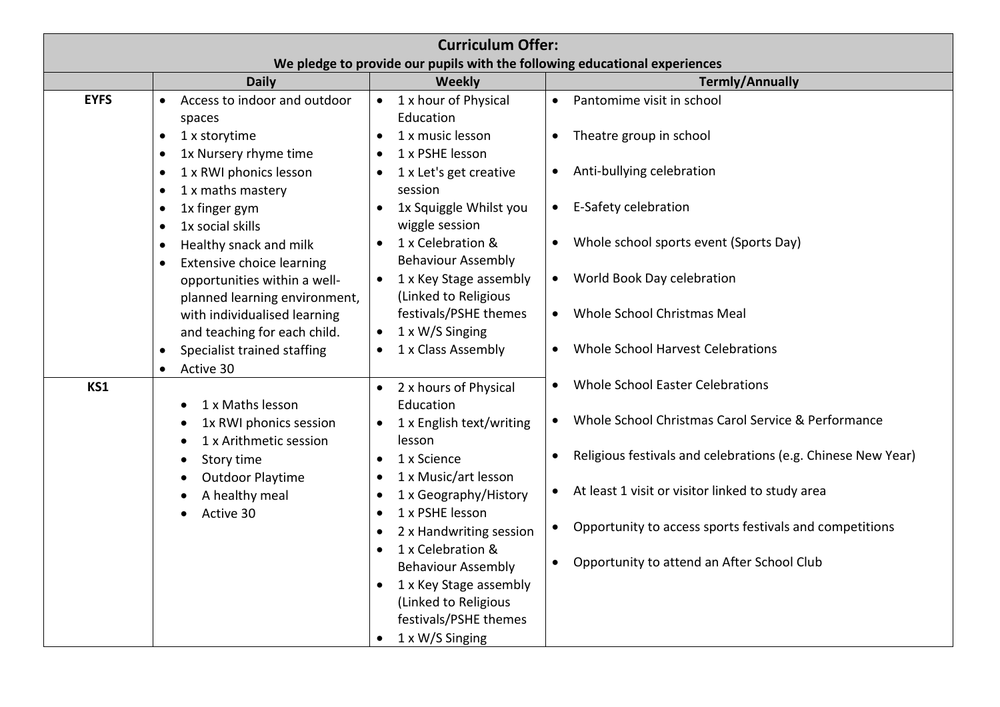| <b>Curriculum Offer:</b>                                                   |                                               |                                       |                                                                      |  |
|----------------------------------------------------------------------------|-----------------------------------------------|---------------------------------------|----------------------------------------------------------------------|--|
| We pledge to provide our pupils with the following educational experiences |                                               |                                       |                                                                      |  |
|                                                                            | <b>Daily</b>                                  | Weekly                                | <b>Termly/Annually</b>                                               |  |
| <b>EYFS</b>                                                                | Access to indoor and outdoor<br>$\bullet$     | • 1 x hour of Physical                | Pantomime visit in school<br>$\bullet$                               |  |
|                                                                            | spaces                                        | Education                             |                                                                      |  |
|                                                                            | 1 x storytime<br>$\bullet$                    | 1 x music lesson                      | Theatre group in school                                              |  |
|                                                                            | 1x Nursery rhyme time                         | 1 x PSHE lesson                       |                                                                      |  |
|                                                                            | 1 x RWI phonics lesson                        | 1 x Let's get creative                | Anti-bullying celebration<br>$\bullet$                               |  |
|                                                                            | 1 x maths mastery                             | session                               |                                                                      |  |
|                                                                            | 1x finger gym                                 | 1x Squiggle Whilst you<br>$\bullet$   | E-Safety celebration<br>$\bullet$                                    |  |
|                                                                            | 1x social skills<br>$\bullet$                 | wiggle session                        |                                                                      |  |
|                                                                            | Healthy snack and milk<br>$\bullet$           | 1 x Celebration &<br>$\bullet$        | Whole school sports event (Sports Day)                               |  |
|                                                                            | <b>Extensive choice learning</b><br>$\bullet$ | <b>Behaviour Assembly</b>             |                                                                      |  |
|                                                                            | opportunities within a well-                  | 1 x Key Stage assembly                | World Book Day celebration<br>$\bullet$                              |  |
|                                                                            | planned learning environment,                 | (Linked to Religious                  |                                                                      |  |
|                                                                            | with individualised learning                  | festivals/PSHE themes                 | Whole School Christmas Meal<br>$\bullet$                             |  |
|                                                                            | and teaching for each child.                  | 1 x W/S Singing<br>$\bullet$          |                                                                      |  |
|                                                                            | Specialist trained staffing                   | 1 x Class Assembly                    | Whole School Harvest Celebrations                                    |  |
|                                                                            | Active 30<br>$\bullet$                        |                                       |                                                                      |  |
| KS1                                                                        |                                               | 2 x hours of Physical                 | Whole School Easter Celebrations                                     |  |
|                                                                            | 1 x Maths lesson                              | Education                             |                                                                      |  |
|                                                                            | 1x RWI phonics session                        | 1 x English text/writing<br>$\bullet$ | Whole School Christmas Carol Service & Performance<br>$\bullet$      |  |
|                                                                            | 1 x Arithmetic session                        | lesson                                |                                                                      |  |
|                                                                            | Story time                                    | 1 x Science<br>$\bullet$              | Religious festivals and celebrations (e.g. Chinese New Year)         |  |
|                                                                            | <b>Outdoor Playtime</b>                       | 1 x Music/art lesson<br>$\bullet$     |                                                                      |  |
|                                                                            | A healthy meal                                | 1 x Geography/History<br>$\bullet$    | At least 1 visit or visitor linked to study area                     |  |
|                                                                            | Active 30                                     | 1 x PSHE lesson<br>$\bullet$          |                                                                      |  |
|                                                                            |                                               | 2 x Handwriting session<br>$\bullet$  | Opportunity to access sports festivals and competitions<br>$\bullet$ |  |
|                                                                            |                                               | 1 x Celebration &                     |                                                                      |  |
|                                                                            |                                               | <b>Behaviour Assembly</b>             | Opportunity to attend an After School Club                           |  |
|                                                                            |                                               | 1 x Key Stage assembly                |                                                                      |  |
|                                                                            |                                               | (Linked to Religious                  |                                                                      |  |
|                                                                            |                                               | festivals/PSHE themes                 |                                                                      |  |
|                                                                            |                                               | 1 x W/S Singing                       |                                                                      |  |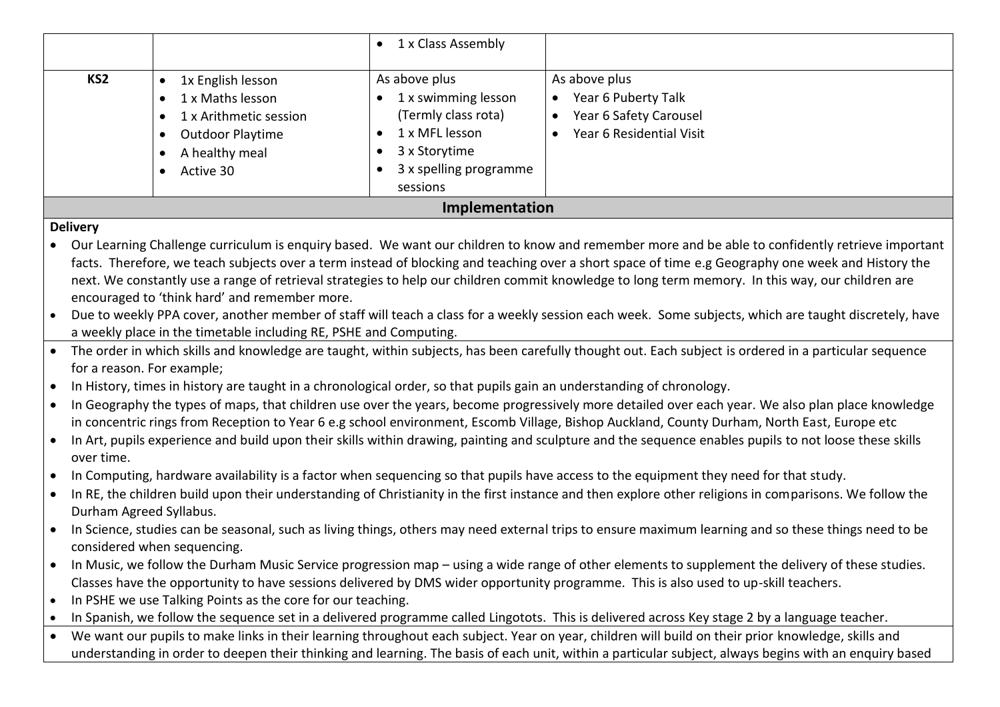|                 |                                                                                                                                 | 1 x Class Assembly                                                                                                                   |                                                                                            |
|-----------------|---------------------------------------------------------------------------------------------------------------------------------|--------------------------------------------------------------------------------------------------------------------------------------|--------------------------------------------------------------------------------------------|
| KS <sub>2</sub> | 1x English lesson<br>1 x Maths lesson<br>1 x Arithmetic session<br>$\bullet$<br>Outdoor Playtime<br>A healthy meal<br>Active 30 | As above plus<br>1 x swimming lesson<br>(Termly class rota)<br>1 x MFL lesson<br>3 x Storytime<br>3 x spelling programme<br>sessions | As above plus<br>Year 6 Puberty Talk<br>Year 6 Safety Carousel<br>Year 6 Residential Visit |
| Implementation  |                                                                                                                                 |                                                                                                                                      |                                                                                            |

## **Delivery**

 Our Learning Challenge curriculum is enquiry based. We want our children to know and remember more and be able to confidently retrieve important facts. Therefore, we teach subjects over a term instead of blocking and teaching over a short space of time e.g Geography one week and History the next. We constantly use a range of retrieval strategies to help our children commit knowledge to long term memory. In this way, our children are encouraged to 'think hard' and remember more.

- Due to weekly PPA cover, another member of staff will teach a class for a weekly session each week. Some subjects, which are taught discretely, have a weekly place in the timetable including RE, PSHE and Computing.
- The order in which skills and knowledge are taught, within subjects, has been carefully thought out. Each subject is ordered in a particular sequence for a reason. For example;
- In History, times in history are taught in a chronological order, so that pupils gain an understanding of chronology.
- In Geography the types of maps, that children use over the years, become progressively more detailed over each year. We also plan place knowledge in concentric rings from Reception to Year 6 e.g school environment, Escomb Village, Bishop Auckland, County Durham, North East, Europe etc
- In Art, pupils experience and build upon their skills within drawing, painting and sculpture and the sequence enables pupils to not loose these skills over time.
- In Computing, hardware availability is a factor when sequencing so that pupils have access to the equipment they need for that study.
- In RE, the children build upon their understanding of Christianity in the first instance and then explore other religions in comparisons. We follow the Durham Agreed Syllabus.
- In Science, studies can be seasonal, such as living things, others may need external trips to ensure maximum learning and so these things need to be considered when sequencing.
- In Music, we follow the Durham Music Service progression map using a wide range of other elements to supplement the delivery of these studies. Classes have the opportunity to have sessions delivered by DMS wider opportunity programme. This is also used to up-skill teachers.
- In PSHE we use Talking Points as the core for our teaching.
- In Spanish, we follow the sequence set in a delivered programme called Lingotots. This is delivered across Key stage 2 by a language teacher.
- We want our pupils to make links in their learning throughout each subject. Year on year, children will build on their prior knowledge, skills and understanding in order to deepen their thinking and learning. The basis of each unit, within a particular subject, always begins with an enquiry based